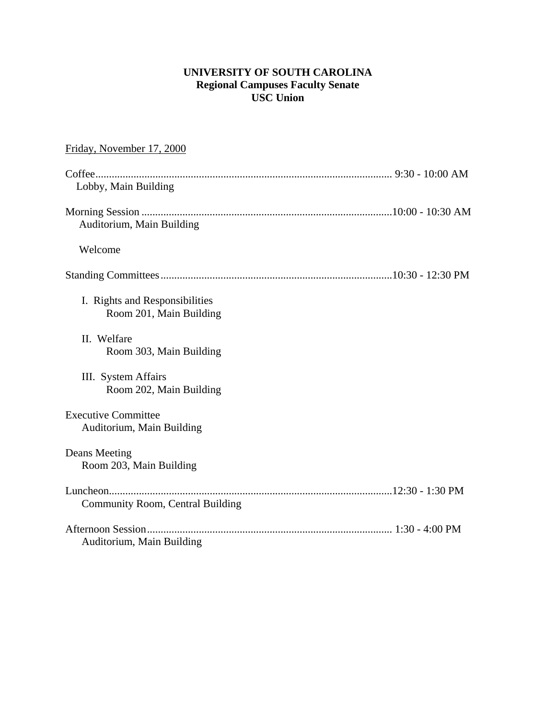## **UNIVERSITY OF SOUTH CAROLINA Regional Campuses Faculty Senate USC Union**

| Friday, November 17, 2000                                 |
|-----------------------------------------------------------|
| Lobby, Main Building                                      |
| Auditorium, Main Building                                 |
| Welcome                                                   |
|                                                           |
| I. Rights and Responsibilities<br>Room 201, Main Building |
| II. Welfare<br>Room 303, Main Building                    |
| III. System Affairs<br>Room 202, Main Building            |
| <b>Executive Committee</b><br>Auditorium, Main Building   |
| Deans Meeting<br>Room 203, Main Building                  |
| <b>Community Room, Central Building</b>                   |
| Auditorium, Main Building                                 |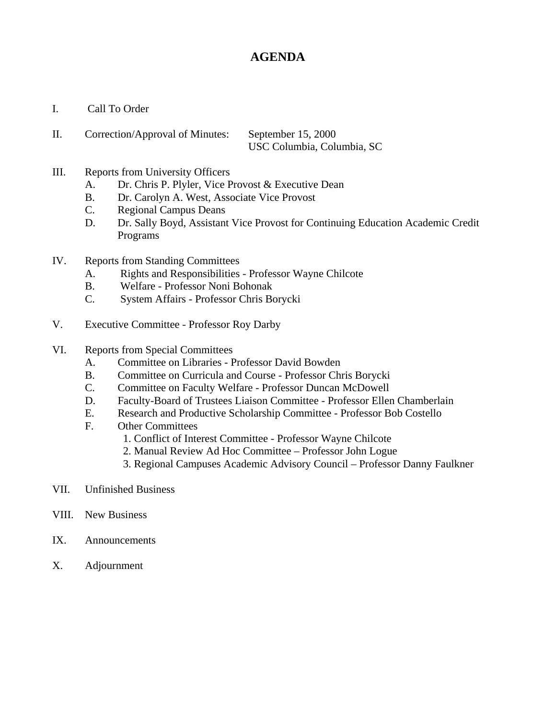# **AGENDA**

- I. Call To Order
- II. Correction/Approval of Minutes: September 15, 2000 USC Columbia, Columbia, SC
- III. Reports from University Officers
	- A. Dr. Chris P. Plyler, Vice Provost & Executive Dean
	- B. Dr. Carolyn A. West, Associate Vice Provost
	- C. Regional Campus Deans
	- D. Dr. Sally Boyd, Assistant Vice Provost for Continuing Education Academic Credit Programs
- IV. Reports from Standing Committees
	- A. Rights and Responsibilities Professor Wayne Chilcote
	- B. Welfare Professor Noni Bohonak
	- C. System Affairs Professor Chris Borycki
- V. Executive Committee Professor Roy Darby
- VI. Reports from Special Committees
	- A. Committee on Libraries Professor David Bowden
	- B. Committee on Curricula and Course Professor Chris Borycki
	- C. Committee on Faculty Welfare Professor Duncan McDowell
	- D. Faculty-Board of Trustees Liaison Committee Professor Ellen Chamberlain
	- E. Research and Productive Scholarship Committee Professor Bob Costello
	- F. Other Committees
		- 1. Conflict of Interest Committee Professor Wayne Chilcote
		- 2. Manual Review Ad Hoc Committee Professor John Logue
		- 3. Regional Campuses Academic Advisory Council Professor Danny Faulkner
- VII. Unfinished Business
- VIII. New Business
- IX. Announcements
- X. Adjournment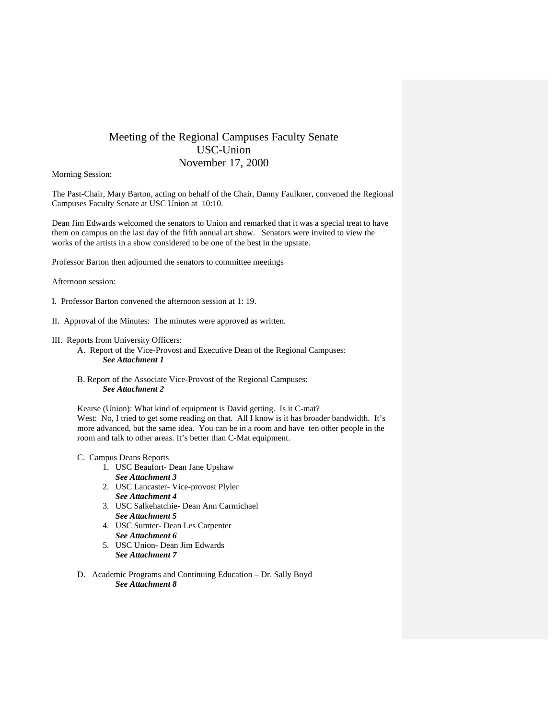## Meeting of the Regional Campuses Faculty Senate USC-Union November 17, 2000

Morning Session:

The Past-Chair, Mary Barton, acting on behalf of the Chair, Danny Faulkner, convened the Regional Campuses Faculty Senate at USC Union at 10:10.

Dean Jim Edwards welcomed the senators to Union and remarked that it was a special treat to have them on campus on the last day of the fifth annual art show. Senators were invited to view the works of the artists in a show considered to be one of the best in the upstate.

Professor Barton then adjourned the senators to committee meetings

Afternoon session:

- I. Professor Barton convened the afternoon session at 1: 19.
- II. Approval of the Minutes: The minutes were approved as written.
- III. Reports from University Officers:
	- A. Report of the Vice-Provost and Executive Dean of the Regional Campuses: *See Attachment 1*
	- B. Report of the Associate Vice-Provost of the Regional Campuses: *See Attachment 2*

Kearse (Union): What kind of equipment is David getting. Is it C-mat? West: No, I tried to get some reading on that. All I know is it has broader bandwidth. It's more advanced, but the same idea. You can be in a room and have ten other people in the room and talk to other areas. It's better than C-Mat equipment.

- C. Campus Deans Reports
	- 1. USC Beaufort- Dean Jane Upshaw *See Attachment 3*
	- 2. USC Lancaster- Vice-provost Plyler *See Attachment 4*
	- 3. USC Salkehatchie- Dean Ann Carmichael *See Attachment 5*
	- 4. USC Sumter- Dean Les Carpenter *See Attachment 6*
	- 5. USC Union- Dean Jim Edwards *See Attachment 7*
- D. Academic Programs and Continuing Education Dr. Sally Boyd *See Attachment 8*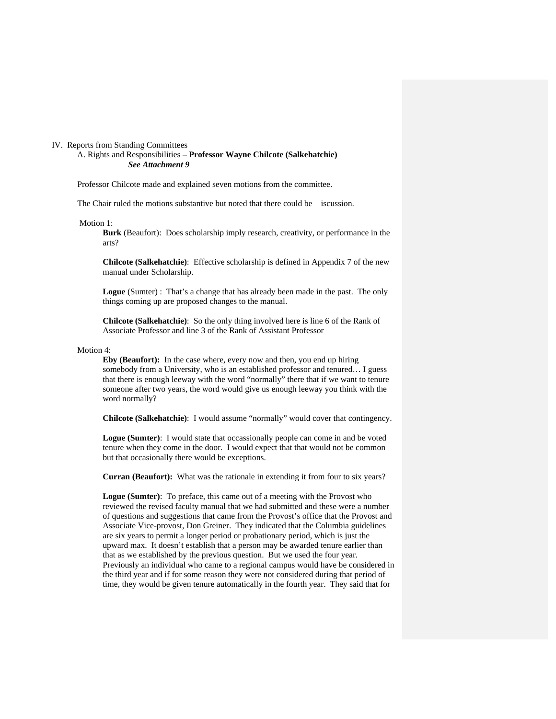#### IV. Reports from Standing Committees

A. Rights and Responsibilities – **Professor Wayne Chilcote (Salkehatchie)**  *See Attachment 9* 

Professor Chilcote made and explained seven motions from the committee.

The Chair ruled the motions substantive but noted that there could be iscussion.

Motion 1:

**Burk** (Beaufort): Does scholarship imply research, creativity, or performance in the arts?

**Chilcote (Salkehatchie)**: Effective scholarship is defined in Appendix 7 of the new manual under Scholarship.

**Logue** (Sumter) : That's a change that has already been made in the past. The only things coming up are proposed changes to the manual.

**Chilcote (Salkehatchie)**: So the only thing involved here is line 6 of the Rank of Associate Professor and line 3 of the Rank of Assistant Professor

## Motion 4:

**Eby (Beaufort):** In the case where, every now and then, you end up hiring somebody from a University, who is an established professor and tenured… I guess that there is enough leeway with the word "normally" there that if we want to tenure someone after two years, the word would give us enough leeway you think with the word normally?

**Chilcote (Salkehatchie)**: I would assume "normally" would cover that contingency.

**Logue (Sumter)**: I would state that occassionally people can come in and be voted tenure when they come in the door. I would expect that that would not be common but that occasionally there would be exceptions.

**Curran (Beaufort):** What was the rationale in extending it from four to six years?

**Logue (Sumter)**: To preface, this came out of a meeting with the Provost who reviewed the revised faculty manual that we had submitted and these were a number of questions and suggestions that came from the Provost's office that the Provost and Associate Vice-provost, Don Greiner. They indicated that the Columbia guidelines are six years to permit a longer period or probationary period, which is just the upward max. It doesn't establish that a person may be awarded tenure earlier than that as we established by the previous question. But we used the four year. Previously an individual who came to a regional campus would have be considered in the third year and if for some reason they were not considered during that period of time, they would be given tenure automatically in the fourth year. They said that for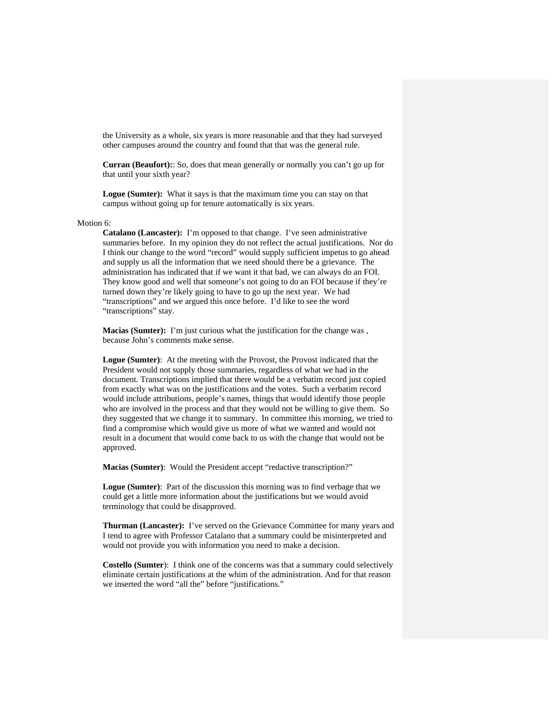the University as a whole, six years is more reasonable and that they had surveyed other campuses around the country and found that that was the general rule.

**Curran (Beaufort):**: So, does that mean generally or normally you can't go up for that until your sixth year?

**Logue (Sumter):** What it says is that the maximum time you can stay on that campus without going up for tenure automatically is six years.

#### Motion 6:

**Catalano (Lancaster):** I'm opposed to that change. I've seen administrative summaries before. In my opinion they do not reflect the actual justifications. Nor do I think our change to the word "record" would supply sufficient impetus to go ahead and supply us all the information that we need should there be a grievance. The administration has indicated that if we want it that bad, we can always do an FOI. They know good and well that someone's not going to do an FOI because if they're turned down they're likely going to have to go up the next year. We had "transcriptions" and we argued this once before. I'd like to see the word "transcriptions" stay.

**Macias (Sumter):** I'm just curious what the justification for the change was , because John's comments make sense.

**Logue (Sumter)**: At the meeting with the Provost, the Provost indicated that the President would not supply those summaries, regardless of what we had in the document. Transcriptions implied that there would be a verbatim record just copied from exactly what was on the justifications and the votes. Such a verbatim record would include attributions, people's names, things that would identify those people who are involved in the process and that they would not be willing to give them. So they suggested that we change it to summary. In committee this morning, we tried to find a compromise which would give us more of what we wanted and would not result in a document that would come back to us with the change that would not be approved.

**Macias (Sumter)**: Would the President accept "redactive transcription?"

**Logue (Sumter)**: Part of the discussion this morning was to find verbage that we could get a little more information about the justifications but we would avoid terminology that could be disapproved.

**Thurman (Lancaster):** I've served on the Grievance Committee for many years and I tend to agree with Professor Catalano that a summary could be misinterpreted and would not provide you with information you need to make a decision.

**Costello (Sumter**): I think one of the concerns was that a summary could selectively eliminate certain justifications at the whim of the administration. And for that reason we inserted the word "all the" before "justifications."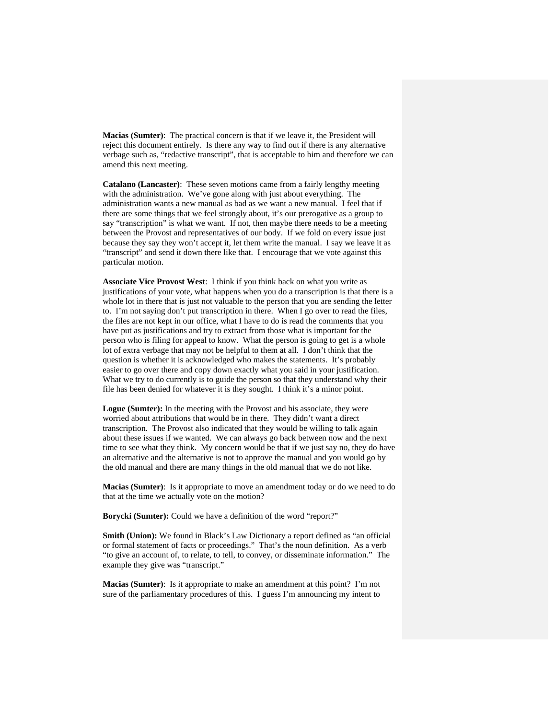**Macias (Sumter)**: The practical concern is that if we leave it, the President will reject this document entirely. Is there any way to find out if there is any alternative verbage such as, "redactive transcript", that is acceptable to him and therefore we can amend this next meeting.

**Catalano (Lancaster)**: These seven motions came from a fairly lengthy meeting with the administration. We've gone along with just about everything. The administration wants a new manual as bad as we want a new manual. I feel that if there are some things that we feel strongly about, it's our prerogative as a group to say "transcription" is what we want. If not, then maybe there needs to be a meeting between the Provost and representatives of our body. If we fold on every issue just because they say they won't accept it, let them write the manual. I say we leave it as "transcript" and send it down there like that. I encourage that we vote against this particular motion.

**Associate Vice Provost West**: I think if you think back on what you write as justifications of your vote, what happens when you do a transcription is that there is a whole lot in there that is just not valuable to the person that you are sending the letter to. I'm not saying don't put transcription in there. When I go over to read the files, the files are not kept in our office, what I have to do is read the comments that you have put as justifications and try to extract from those what is important for the person who is filing for appeal to know. What the person is going to get is a whole lot of extra verbage that may not be helpful to them at all. I don't think that the question is whether it is acknowledged who makes the statements. It's probably easier to go over there and copy down exactly what you said in your justification. What we try to do currently is to guide the person so that they understand why their file has been denied for whatever it is they sought. I think it's a minor point.

**Logue (Sumter):** In the meeting with the Provost and his associate, they were worried about attributions that would be in there. They didn't want a direct transcription. The Provost also indicated that they would be willing to talk again about these issues if we wanted. We can always go back between now and the next time to see what they think. My concern would be that if we just say no, they do have an alternative and the alternative is not to approve the manual and you would go by the old manual and there are many things in the old manual that we do not like.

**Macias (Sumter)**: Is it appropriate to move an amendment today or do we need to do that at the time we actually vote on the motion?

**Borycki (Sumter):** Could we have a definition of the word "report?"

**Smith (Union):** We found in Black's Law Dictionary a report defined as "an official or formal statement of facts or proceedings." That's the noun definition. As a verb "to give an account of, to relate, to tell, to convey, or disseminate information." The example they give was "transcript."

**Macias (Sumter)**: Is it appropriate to make an amendment at this point? I'm not sure of the parliamentary procedures of this. I guess I'm announcing my intent to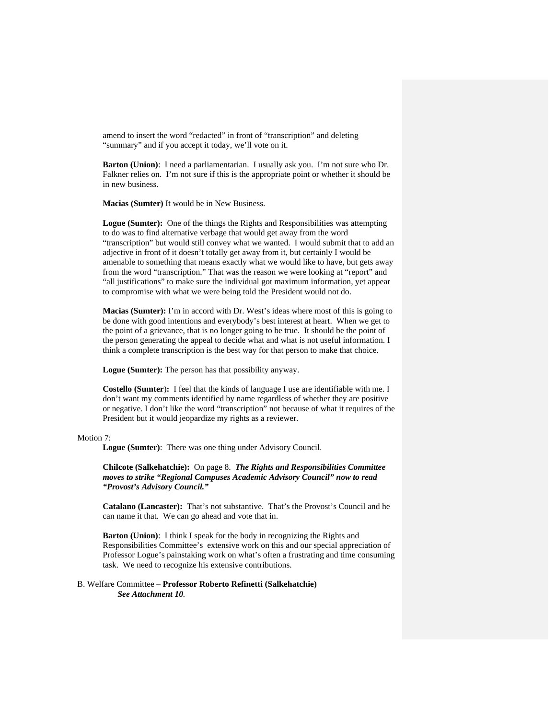amend to insert the word "redacted" in front of "transcription" and deleting "summary" and if you accept it today, we'll vote on it.

**Barton (Union)**: I need a parliamentarian. I usually ask you. I'm not sure who Dr. Falkner relies on. I'm not sure if this is the appropriate point or whether it should be in new business.

**Macias (Sumter)** It would be in New Business.

Logue (Sumter): One of the things the Rights and Responsibilities was attempting to do was to find alternative verbage that would get away from the word "transcription" but would still convey what we wanted. I would submit that to add an adjective in front of it doesn't totally get away from it, but certainly I would be amenable to something that means exactly what we would like to have, but gets away from the word "transcription." That was the reason we were looking at "report" and "all justifications" to make sure the individual got maximum information, yet appear to compromise with what we were being told the President would not do.

**Macias (Sumter):** I'm in accord with Dr. West's ideas where most of this is going to be done with good intentions and everybody's best interest at heart. When we get to the point of a grievance, that is no longer going to be true. It should be the point of the person generating the appeal to decide what and what is not useful information. I think a complete transcription is the best way for that person to make that choice.

**Logue (Sumter):** The person has that possibility anyway.

**Costello (Sumter**)**:** I feel that the kinds of language I use are identifiable with me. I don't want my comments identified by name regardless of whether they are positive or negative. I don't like the word "transcription" not because of what it requires of the President but it would jeopardize my rights as a reviewer.

#### Motion 7:

**Logue (Sumter)**: There was one thing under Advisory Council.

**Chilcote (Salkehatchie):** On page 8. *The Rights and Responsibilities Committee moves to strike "Regional Campuses Academic Advisory Council" now to read "Provost's Advisory Council."* 

**Catalano (Lancaster):** That's not substantive. That's the Provost's Council and he can name it that. We can go ahead and vote that in.

**Barton (Union)**: I think I speak for the body in recognizing the Rights and Responsibilities Committee's extensive work on this and our special appreciation of Professor Logue's painstaking work on what's often a frustrating and time consuming task. We need to recognize his extensive contributions.

## B. Welfare Committee – **Professor Roberto Refinetti (Salkehatchie)** *See Attachment 10.*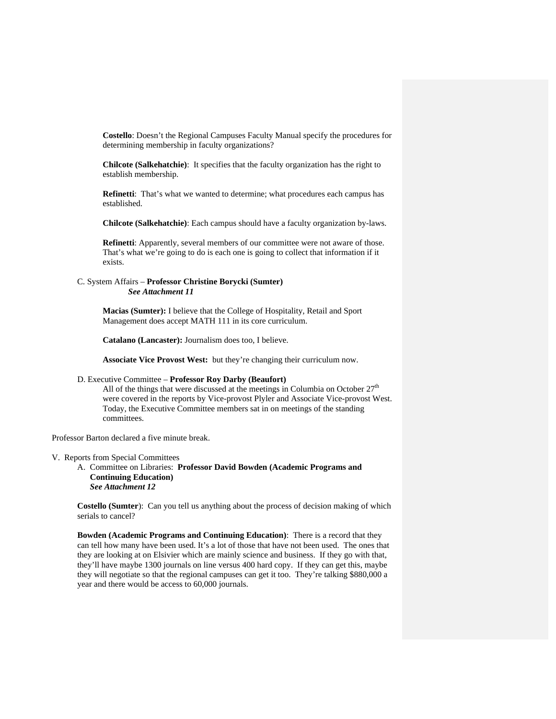**Costello**: Doesn't the Regional Campuses Faculty Manual specify the procedures for determining membership in faculty organizations?

**Chilcote (Salkehatchie)**: It specifies that the faculty organization has the right to establish membership.

**Refinetti**: That's what we wanted to determine; what procedures each campus has established.

**Chilcote (Salkehatchie)**: Each campus should have a faculty organization by-laws.

**Refinetti**: Apparently, several members of our committee were not aware of those. That's what we're going to do is each one is going to collect that information if it exists.

## C. System Affairs – **Professor Christine Borycki (Sumter)** *See Attachment 11*

**Macias (Sumter):** I believe that the College of Hospitality, Retail and Sport Management does accept MATH 111 in its core curriculum.

**Catalano (Lancaster):** Journalism does too, I believe.

**Associate Vice Provost West:** but they're changing their curriculum now.

## D. Executive Committee – **Professor Roy Darby (Beaufort)**

All of the things that were discussed at the meetings in Columbia on October  $27<sup>th</sup>$ were covered in the reports by Vice-provost Plyler and Associate Vice-provost West. Today, the Executive Committee members sat in on meetings of the standing committees.

Professor Barton declared a five minute break.

#### V. Reports from Special Committees

A. Committee on Libraries: **Professor David Bowden (Academic Programs and Continuing Education)**  *See Attachment 12* 

**Costello (Sumter**): Can you tell us anything about the process of decision making of which serials to cancel?

**Bowden (Academic Programs and Continuing Education)**: There is a record that they can tell how many have been used. It's a lot of those that have not been used. The ones that they are looking at on Elsivier which are mainly science and business. If they go with that, they'll have maybe 1300 journals on line versus 400 hard copy. If they can get this, maybe they will negotiate so that the regional campuses can get it too. They're talking \$880,000 a year and there would be access to 60,000 journals.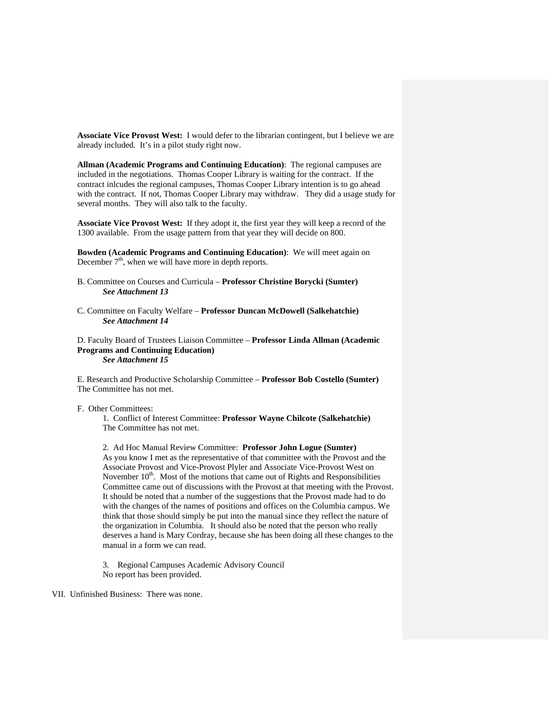**Associate Vice Provost West:** I would defer to the librarian contingent, but I believe we are already included. It's in a pilot study right now.

**Allman (Academic Programs and Continuing Education)**: The regional campuses are included in the negotiations. Thomas Cooper Library is waiting for the contract. If the contract inlcudes the regional campuses, Thomas Cooper Library intention is to go ahead with the contract. If not, Thomas Cooper Library may withdraw. They did a usage study for several months. They will also talk to the faculty.

**Associate Vice Provost West:** If they adopt it, the first year they will keep a record of the 1300 available. From the usage pattern from that year they will decide on 800.

**Bowden (Academic Programs and Continuing Education)**: We will meet again on December  $7<sup>th</sup>$ , when we will have more in depth reports.

- B. Committee on Courses and Curricula **Professor Christine Borycki (Sumter)** *See Attachment 13*
- C. Committee on Faculty Welfare **Professor Duncan McDowell (Salkehatchie)** *See Attachment 14*

D. Faculty Board of Trustees Liaison Committee – **Professor Linda Allman (Academic Programs and Continuing Education)**  *See Attachment 15*

E. Research and Productive Scholarship Committee – **Professor Bob Costello (Sumter)** The Committee has not met.

F. Other Committees:

1. Conflict of Interest Committee: **Professor Wayne Chilcote (Salkehatchie)**  The Committee has not met.

2. Ad Hoc Manual Review Committee: **Professor John Logue (Sumter)** As you know I met as the representative of that committee with the Provost and the Associate Provost and Vice-Provost Plyler and Associate Vice-Provost West on November  $10<sup>th</sup>$ . Most of the motions that came out of Rights and Responsibilities Committee came out of discussions with the Provost at that meeting with the Provost. It should be noted that a number of the suggestions that the Provost made had to do with the changes of the names of positions and offices on the Columbia campus. We think that those should simply be put into the manual since they reflect the nature of the organization in Columbia. It should also be noted that the person who really deserves a hand is Mary Cordray, because she has been doing all these changes to the manual in a form we can read.

3. Regional Campuses Academic Advisory Council No report has been provided.

VII. Unfinished Business: There was none.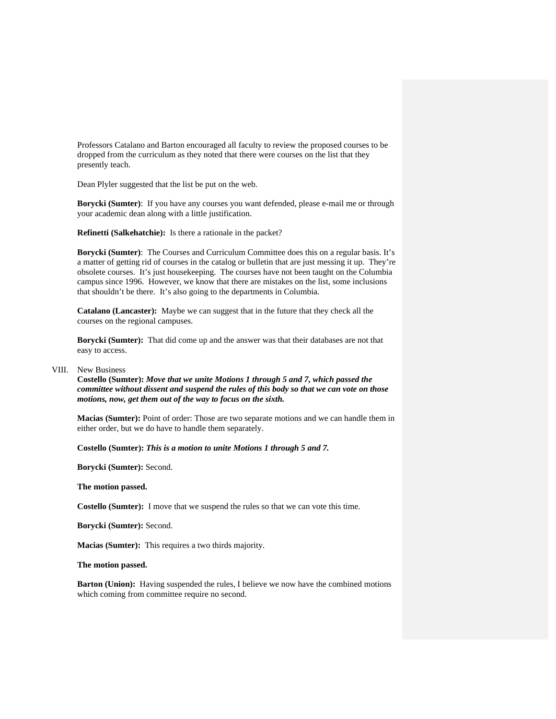Professors Catalano and Barton encouraged all faculty to review the proposed courses to be dropped from the curriculum as they noted that there were courses on the list that they presently teach.

Dean Plyler suggested that the list be put on the web.

**Borycki (Sumter)**: If you have any courses you want defended, please e-mail me or through your academic dean along with a little justification.

**Refinetti (Salkehatchie):** Is there a rationale in the packet?

**Borycki (Sumter)**: The Courses and Curriculum Committee does this on a regular basis. It's a matter of getting rid of courses in the catalog or bulletin that are just messing it up. They're obsolete courses. It's just housekeeping. The courses have not been taught on the Columbia campus since 1996. However, we know that there are mistakes on the list, some inclusions that shouldn't be there. It's also going to the departments in Columbia.

**Catalano (Lancaster):** Maybe we can suggest that in the future that they check all the courses on the regional campuses.

**Borycki (Sumter):** That did come up and the answer was that their databases are not that easy to access.

## VIII. New Business

**Costello (Sumter):** *Move that we unite Motions 1 through 5 and 7, which passed the committee without dissent and suspend the rules of this body so that we can vote on those motions, now, get them out of the way to focus on the sixth.*

**Macias (Sumter):** Point of order: Those are two separate motions and we can handle them in either order, but we do have to handle them separately.

**Costello (Sumter):** *This is a motion to unite Motions 1 through 5 and 7.*

**Borycki (Sumter):** Second.

**The motion passed.** 

**Costello (Sumter):** I move that we suspend the rules so that we can vote this time.

**Borycki (Sumter):** Second.

**Macias (Sumter):** This requires a two thirds majority.

**The motion passed.** 

**Barton (Union):** Having suspended the rules, I believe we now have the combined motions which coming from committee require no second.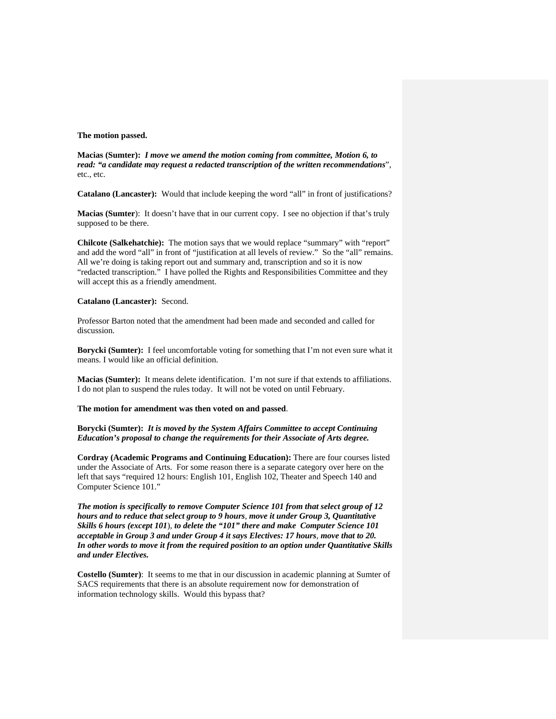### **The motion passed.**

**Macias (Sumter):** *I move we amend the motion coming from committee, Motion 6, to read: "a candidate may request a redacted transcription of the written recommendations*", etc., etc.

**Catalano (Lancaster):** Would that include keeping the word "all" in front of justifications?

**Macias (Sumter**): It doesn't have that in our current copy. I see no objection if that's truly supposed to be there.

**Chilcote (Salkehatchie):** The motion says that we would replace "summary" with "report" and add the word "all" in front of "justification at all levels of review." So the "all" remains. All we're doing is taking report out and summary and, transcription and so it is now "redacted transcription." I have polled the Rights and Responsibilities Committee and they will accept this as a friendly amendment.

#### **Catalano (Lancaster):** Second.

Professor Barton noted that the amendment had been made and seconded and called for discussion.

**Borycki (Sumter):** I feel uncomfortable voting for something that I'm not even sure what it means. I would like an official definition.

**Macias (Sumter):** It means delete identification. I'm not sure if that extends to affiliations. I do not plan to suspend the rules today. It will not be voted on until February.

## **The motion for amendment was then voted on and passed**.

**Borycki (Sumter):** *It is moved by the System Affairs Committee to accept Continuing Education's proposal to change the requirements for their Associate of Arts degree.*

**Cordray (Academic Programs and Continuing Education):** There are four courses listed under the Associate of Arts. For some reason there is a separate category over here on the left that says "required 12 hours: English 101, English 102, Theater and Speech 140 and Computer Science 101."

*The motion is specifically to remove Computer Science 101 from that select group of 12 hours and to reduce that select group to 9 hours, move it under Group 3, Quantitative Skills 6 hours (except 101*), *to delete the "101" there and make Computer Science 101 acceptable in Group 3 and under Group 4 it says Electives: 17 hours*, *move that to 20. In other words to move it from the required position to an option under Quantitative Skills and under Electives.* 

**Costello (Sumter)**: It seems to me that in our discussion in academic planning at Sumter of SACS requirements that there is an absolute requirement now for demonstration of information technology skills. Would this bypass that?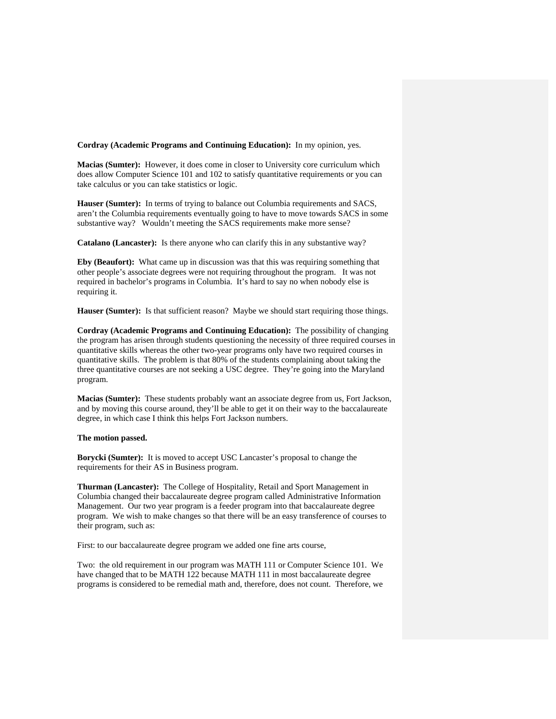**Cordray (Academic Programs and Continuing Education):** In my opinion, yes.

**Macias (Sumter):** However, it does come in closer to University core curriculum which does allow Computer Science 101 and 102 to satisfy quantitative requirements or you can take calculus or you can take statistics or logic.

**Hauser (Sumter):** In terms of trying to balance out Columbia requirements and SACS, aren't the Columbia requirements eventually going to have to move towards SACS in some substantive way? Wouldn't meeting the SACS requirements make more sense?

**Catalano (Lancaster):** Is there anyone who can clarify this in any substantive way?

**Eby (Beaufort):** What came up in discussion was that this was requiring something that other people's associate degrees were not requiring throughout the program. It was not required in bachelor's programs in Columbia. It's hard to say no when nobody else is requiring it.

**Hauser (Sumter):** Is that sufficient reason? Maybe we should start requiring those things.

**Cordray (Academic Programs and Continuing Education):** The possibility of changing the program has arisen through students questioning the necessity of three required courses in quantitative skills whereas the other two-year programs only have two required courses in quantitative skills. The problem is that 80% of the students complaining about taking the three quantitative courses are not seeking a USC degree. They're going into the Maryland program.

**Macias (Sumter):** These students probably want an associate degree from us, Fort Jackson, and by moving this course around, they'll be able to get it on their way to the baccalaureate degree, in which case I think this helps Fort Jackson numbers.

#### **The motion passed.**

**Borycki (Sumter):** It is moved to accept USC Lancaster's proposal to change the requirements for their AS in Business program.

**Thurman (Lancaster):** The College of Hospitality, Retail and Sport Management in Columbia changed their baccalaureate degree program called Administrative Information Management. Our two year program is a feeder program into that baccalaureate degree program. We wish to make changes so that there will be an easy transference of courses to their program, such as:

First: to our baccalaureate degree program we added one fine arts course,

Two: the old requirement in our program was MATH 111 or Computer Science 101. We have changed that to be MATH 122 because MATH 111 in most baccalaureate degree programs is considered to be remedial math and, therefore, does not count. Therefore, we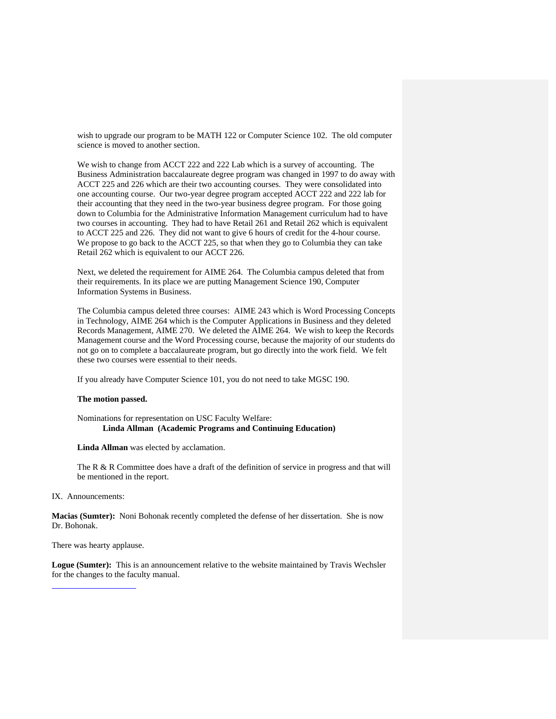wish to upgrade our program to be MATH 122 or Computer Science 102. The old computer science is moved to another section.

We wish to change from ACCT 222 and 222 Lab which is a survey of accounting. The Business Administration baccalaureate degree program was changed in 1997 to do away with ACCT 225 and 226 which are their two accounting courses. They were consolidated into one accounting course. Our two-year degree program accepted ACCT 222 and 222 lab for their accounting that they need in the two-year business degree program. For those going down to Columbia for the Administrative Information Management curriculum had to have two courses in accounting. They had to have Retail 261 and Retail 262 which is equivalent to ACCT 225 and 226. They did not want to give 6 hours of credit for the 4-hour course. We propose to go back to the ACCT 225, so that when they go to Columbia they can take Retail 262 which is equivalent to our ACCT 226.

Next, we deleted the requirement for AIME 264. The Columbia campus deleted that from their requirements. In its place we are putting Management Science 190, Computer Information Systems in Business.

The Columbia campus deleted three courses: AIME 243 which is Word Processing Concepts in Technology, AIME 264 which is the Computer Applications in Business and they deleted Records Management, AIME 270. We deleted the AIME 264. We wish to keep the Records Management course and the Word Processing course, because the majority of our students do not go on to complete a baccalaureate program, but go directly into the work field. We felt these two courses were essential to their needs.

If you already have Computer Science 101, you do not need to take MGSC 190.

#### **The motion passed.**

Nominations for representation on USC Faculty Welfare: **Linda Allman (Academic Programs and Continuing Education)** 

**Linda Allman** was elected by acclamation.

The R & R Committee does have a draft of the definition of service in progress and that will be mentioned in the report.

IX. Announcements:

**Macias (Sumter):** Noni Bohonak recently completed the defense of her dissertation. She is now Dr. Bohonak.

There was hearty applause.

**Logue (Sumter):** This is an announcement relative to the website maintained by Travis Wechsler for the changes to the faculty manual.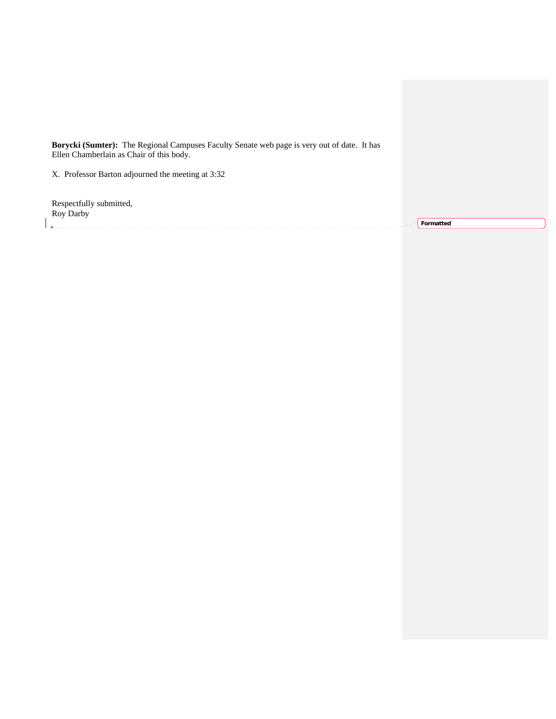**Borycki (Sumter):** The Regional Campuses Faculty Senate web page is very out of date. It has Ellen Chamberlain as Chair of this body.

X. Professor Barton adjourned the meeting at 3:32

Respectfully submitted, Roy Darby 

**Formatted**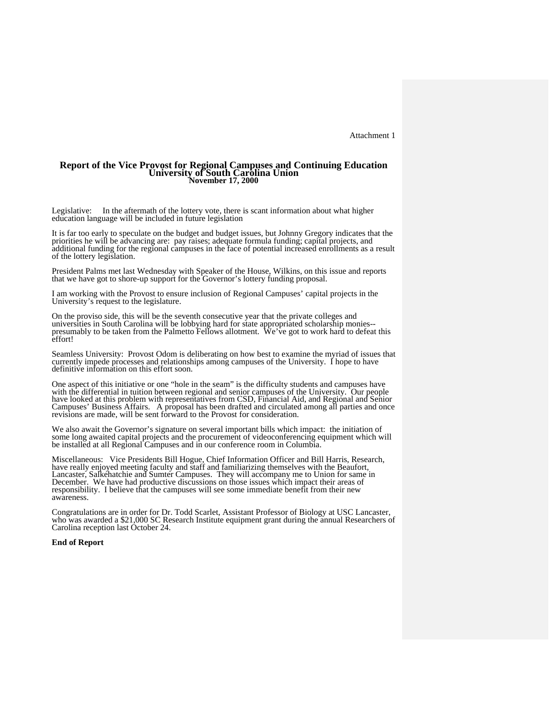# **Report of the Vice Provost for Regional Campuses and Continuing Education University of South Carolina Union November 17, 2000**

Legislative: In the aftermath of the lottery vote, there is scant information about what higher education language will be included in future legislation

It is far too early to speculate on the budget and budget issues, but Johnny Gregory indicates that the priorities he will be advancing are: pay raises; adequate formula funding; capital projects, and additional funding for the regional campuses in the face of potential increased enrollments as a result of the lottery legislation.

President Palms met last Wednesday with Speaker of the House, Wilkins, on this issue and reports that we have got to shore-up support for the Governor's lottery funding proposal.

I am working with the Provost to ensure inclusion of Regional Campuses' capital projects in the University's request to the legislature.

On the proviso side, this will be the seventh consecutive year that the private colleges and universities in South Carolina will be lobbying hard for state appropriated scholarship monies- presumably to be taken from the Palmetto Fellows allotment. We've got to work hard to defeat this effort!

Seamless University: Provost Odom is deliberating on how best to examine the myriad of issues that currently impede processes and relationships among campuses of the University. I hope to have definitive information on this effort soon.

One aspect of this initiative or one "hole in the seam" is the difficulty students and campuses have one assess of the differential in tuition between regional and senior campuses of the University. Our people<br>have looked at this problem with representatives from CSD, Financial Aid, and Regional and Senior<br>have looked at

We also await the Governor's signature on several important bills which impact: the initiation of some long awaited capital projects and the procurement of videoconferencing equipment which will be installed at all Regiona

Miscellaneous: Vice Presidents Bill Hogue, Chief Information Officer and Bill Harris, Research, have really enjoyed meeting faculty and staff and familiarizing themselves with the Beaufort, Lancaster, Salkehatchie and Sumter Campuses. They will accompany me to Union for same in<br>December. We have had productive discussions on those issues which impact their areas of<br>responsibility. I believe that the campuses responsibility. I believe that the campuses will see some immediate benefit from their new awareness.

Congratulations are in order for Dr. Todd Scarlet, Assistant Professor of Biology at USC Lancaster, who was awarded a \$21,000 SC Research Institute equipment grant during the annual Researchers of Carolina reception last October 24.

#### **End of Report**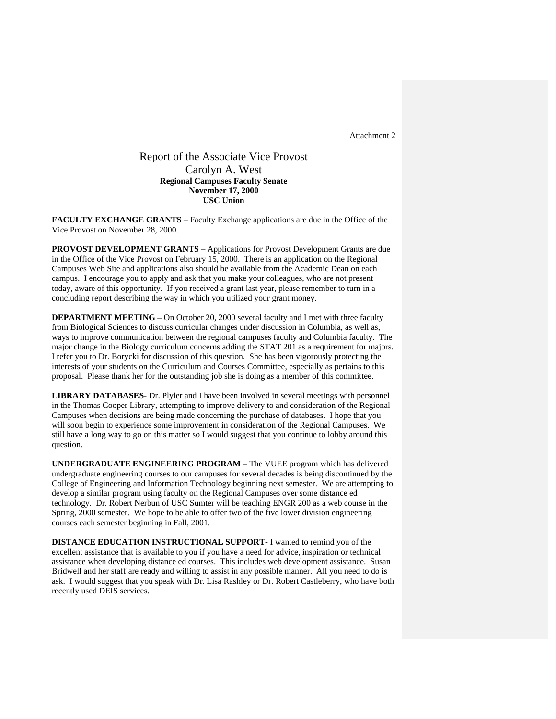## Report of the Associate Vice Provost Carolyn A. West **Regional Campuses Faculty Senate November 17, 2000 USC Union**

**FACULTY EXCHANGE GRANTS** – Faculty Exchange applications are due in the Office of the Vice Provost on November 28, 2000.

**PROVOST DEVELOPMENT GRANTS** – Applications for Provost Development Grants are due in the Office of the Vice Provost on February 15, 2000. There is an application on the Regional Campuses Web Site and applications also should be available from the Academic Dean on each campus. I encourage you to apply and ask that you make your colleagues, who are not present today, aware of this opportunity. If you received a grant last year, please remember to turn in a concluding report describing the way in which you utilized your grant money.

**DEPARTMENT MEETING** – On October 20, 2000 several faculty and I met with three faculty from Biological Sciences to discuss curricular changes under discussion in Columbia, as well as, ways to improve communication between the regional campuses faculty and Columbia faculty. The major change in the Biology curriculum concerns adding the STAT 201 as a requirement for majors. I refer you to Dr. Borycki for discussion of this question. She has been vigorously protecting the interests of your students on the Curriculum and Courses Committee, especially as pertains to this proposal. Please thank her for the outstanding job she is doing as a member of this committee.

**LIBRARY DATABASES-** Dr. Plyler and I have been involved in several meetings with personnel in the Thomas Cooper Library, attempting to improve delivery to and consideration of the Regional Campuses when decisions are being made concerning the purchase of databases. I hope that you will soon begin to experience some improvement in consideration of the Regional Campuses. We still have a long way to go on this matter so I would suggest that you continue to lobby around this question.

**UNDERGRADUATE ENGINEERING PROGRAM –** The VUEE program which has delivered undergraduate engineering courses to our campuses for several decades is being discontinued by the College of Engineering and Information Technology beginning next semester. We are attempting to develop a similar program using faculty on the Regional Campuses over some distance ed technology. Dr. Robert Nerbun of USC Sumter will be teaching ENGR 200 as a web course in the Spring, 2000 semester. We hope to be able to offer two of the five lower division engineering courses each semester beginning in Fall, 2001.

**DISTANCE EDUCATION INSTRUCTIONAL SUPPORT-** I wanted to remind you of the excellent assistance that is available to you if you have a need for advice, inspiration or technical assistance when developing distance ed courses. This includes web development assistance. Susan Bridwell and her staff are ready and willing to assist in any possible manner. All you need to do is ask. I would suggest that you speak with Dr. Lisa Rashley or Dr. Robert Castleberry, who have both recently used DEIS services.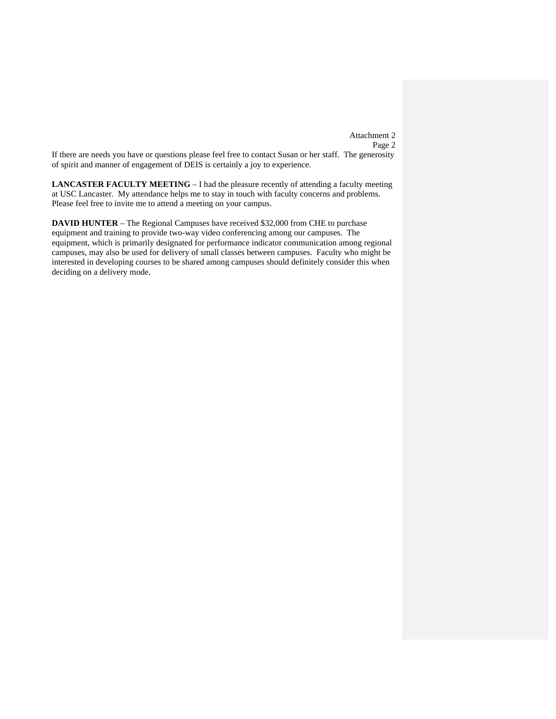Attachment 2 Page 2

If there are needs you have or questions please feel free to contact Susan or her staff. The generosity of spirit and manner of engagement of DEIS is certainly a joy to experience.

**LANCASTER FACULTY MEETING** – I had the pleasure recently of attending a faculty meeting at USC Lancaster. My attendance helps me to stay in touch with faculty concerns and problems. Please feel free to invite me to attend a meeting on your campus.

**DAVID HUNTER** – The Regional Campuses have received \$32,000 from CHE to purchase equipment and training to provide two-way video conferencing among our campuses. The equipment, which is primarily designated for performance indicator communication among regional campuses, may also be used for delivery of small classes between campuses. Faculty who might be interested in developing courses to be shared among campuses should definitely consider this when deciding on a delivery mode.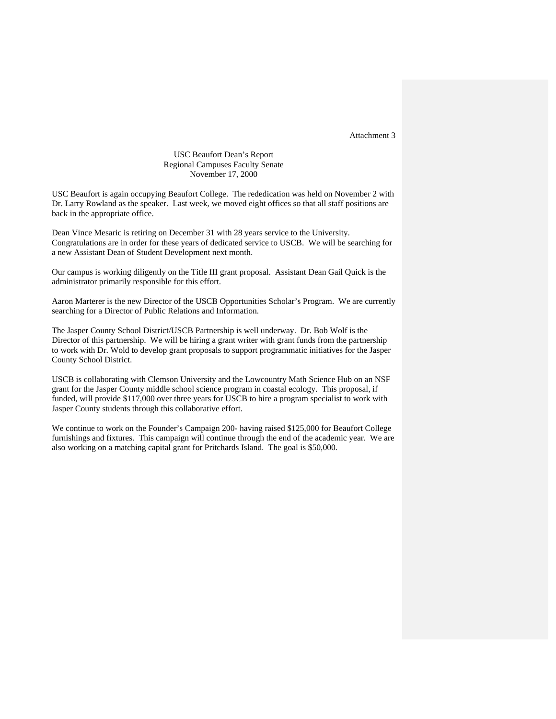## USC Beaufort Dean's Report Regional Campuses Faculty Senate November 17, 2000

USC Beaufort is again occupying Beaufort College. The rededication was held on November 2 with Dr. Larry Rowland as the speaker. Last week, we moved eight offices so that all staff positions are back in the appropriate office.

Dean Vince Mesaric is retiring on December 31 with 28 years service to the University. Congratulations are in order for these years of dedicated service to USCB. We will be searching for a new Assistant Dean of Student Development next month.

Our campus is working diligently on the Title III grant proposal. Assistant Dean Gail Quick is the administrator primarily responsible for this effort.

Aaron Marterer is the new Director of the USCB Opportunities Scholar's Program. We are currently searching for a Director of Public Relations and Information.

The Jasper County School District/USCB Partnership is well underway. Dr. Bob Wolf is the Director of this partnership. We will be hiring a grant writer with grant funds from the partnership to work with Dr. Wold to develop grant proposals to support programmatic initiatives for the Jasper County School District.

USCB is collaborating with Clemson University and the Lowcountry Math Science Hub on an NSF grant for the Jasper County middle school science program in coastal ecology. This proposal, if funded, will provide \$117,000 over three years for USCB to hire a program specialist to work with Jasper County students through this collaborative effort.

We continue to work on the Founder's Campaign 200- having raised \$125,000 for Beaufort College furnishings and fixtures. This campaign will continue through the end of the academic year. We are also working on a matching capital grant for Pritchards Island. The goal is \$50,000.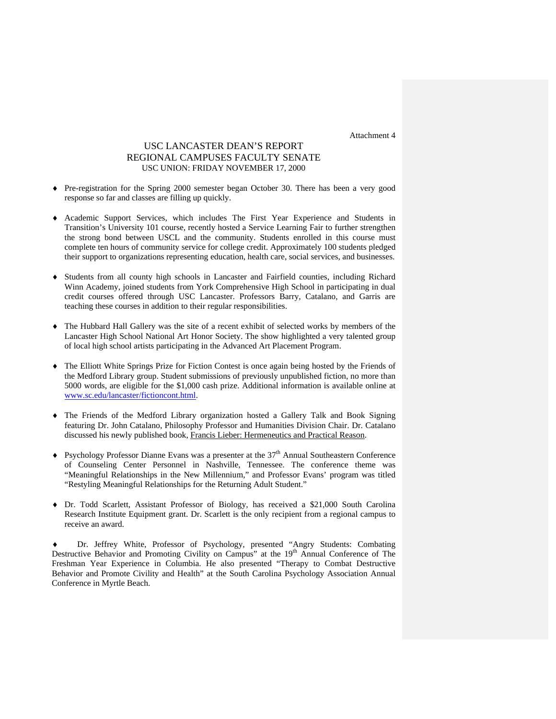## USC LANCASTER DEAN'S REPORT REGIONAL CAMPUSES FACULTY SENATE USC UNION: FRIDAY NOVEMBER 17, 2000

- ♦ Pre-registration for the Spring 2000 semester began October 30. There has been a very good response so far and classes are filling up quickly.
- ♦ Academic Support Services, which includes The First Year Experience and Students in Transition's University 101 course, recently hosted a Service Learning Fair to further strengthen the strong bond between USCL and the community. Students enrolled in this course must complete ten hours of community service for college credit. Approximately 100 students pledged their support to organizations representing education, health care, social services, and businesses.
- Students from all county high schools in Lancaster and Fairfield counties, including Richard Winn Academy, joined students from York Comprehensive High School in participating in dual credit courses offered through USC Lancaster. Professors Barry, Catalano, and Garris are teaching these courses in addition to their regular responsibilities.
- ♦ The Hubbard Hall Gallery was the site of a recent exhibit of selected works by members of the Lancaster High School National Art Honor Society. The show highlighted a very talented group of local high school artists participating in the Advanced Art Placement Program.
- ♦ The Elliott White Springs Prize for Fiction Contest is once again being hosted by the Friends of the Medford Library group. Student submissions of previously unpublished fiction, no more than 5000 words, are eligible for the \$1,000 cash prize. Additional information is available online at [www.sc.edu/lancaster/fictioncont.html.](http://www.sc.edu/lancaster/fictioncont.html)
- ♦ The Friends of the Medford Library organization hosted a Gallery Talk and Book Signing featuring Dr. John Catalano, Philosophy Professor and Humanities Division Chair. Dr. Catalano discussed his newly published book, Francis Lieber: Hermeneutics and Practical Reason.
- $\blacklozenge$  Psychology Professor Dianne Evans was a presenter at the 37<sup>th</sup> Annual Southeastern Conference of Counseling Center Personnel in Nashville, Tennessee. The conference theme was "Meaningful Relationships in the New Millennium," and Professor Evans' program was titled "Restyling Meaningful Relationships for the Returning Adult Student."
- ♦ Dr. Todd Scarlett, Assistant Professor of Biology, has received a \$21,000 South Carolina Research Institute Equipment grant. Dr. Scarlett is the only recipient from a regional campus to receive an award.

Dr. Jeffrey White, Professor of Psychology, presented "Angry Students: Combating Destructive Behavior and Promoting Civility on Campus" at the  $19<sup>th</sup>$  Annual Conference of The Freshman Year Experience in Columbia. He also presented "Therapy to Combat Destructive Behavior and Promote Civility and Health" at the South Carolina Psychology Association Annual Conference in Myrtle Beach.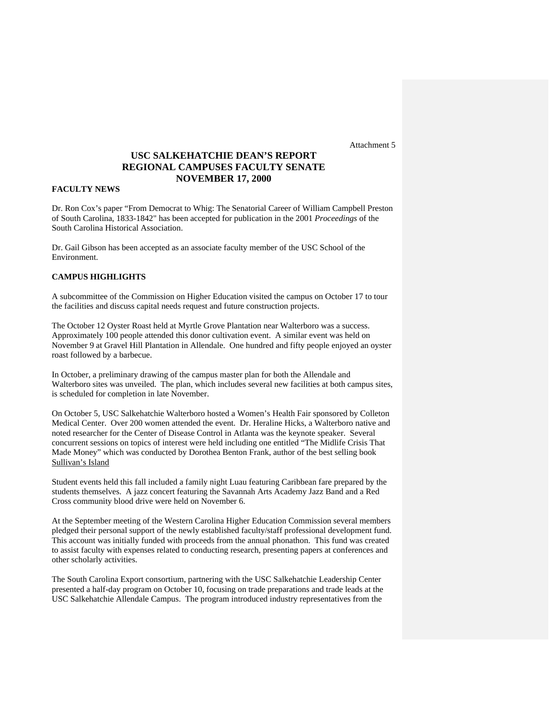## **USC SALKEHATCHIE DEAN'S REPORT REGIONAL CAMPUSES FACULTY SENATE NOVEMBER 17, 2000**

## **FACULTY NEWS**

Dr. Ron Cox's paper "From Democrat to Whig: The Senatorial Career of William Campbell Preston of South Carolina, 1833-1842" has been accepted for publication in the 2001 *Proceedings* of the South Carolina Historical Association.

Dr. Gail Gibson has been accepted as an associate faculty member of the USC School of the Environment.

## **CAMPUS HIGHLIGHTS**

A subcommittee of the Commission on Higher Education visited the campus on October 17 to tour the facilities and discuss capital needs request and future construction projects.

The October 12 Oyster Roast held at Myrtle Grove Plantation near Walterboro was a success. Approximately 100 people attended this donor cultivation event. A similar event was held on November 9 at Gravel Hill Plantation in Allendale. One hundred and fifty people enjoyed an oyster roast followed by a barbecue.

In October, a preliminary drawing of the campus master plan for both the Allendale and Walterboro sites was unveiled. The plan, which includes several new facilities at both campus sites, is scheduled for completion in late November.

On October 5, USC Salkehatchie Walterboro hosted a Women's Health Fair sponsored by Colleton Medical Center. Over 200 women attended the event. Dr. Heraline Hicks, a Walterboro native and noted researcher for the Center of Disease Control in Atlanta was the keynote speaker. Several concurrent sessions on topics of interest were held including one entitled "The Midlife Crisis That Made Money" which was conducted by Dorothea Benton Frank, author of the best selling book Sullivan's Island

Student events held this fall included a family night Luau featuring Caribbean fare prepared by the students themselves. A jazz concert featuring the Savannah Arts Academy Jazz Band and a Red Cross community blood drive were held on November 6.

At the September meeting of the Western Carolina Higher Education Commission several members pledged their personal support of the newly established faculty/staff professional development fund. This account was initially funded with proceeds from the annual phonathon. This fund was created to assist faculty with expenses related to conducting research, presenting papers at conferences and other scholarly activities.

The South Carolina Export consortium, partnering with the USC Salkehatchie Leadership Center presented a half-day program on October 10, focusing on trade preparations and trade leads at the USC Salkehatchie Allendale Campus. The program introduced industry representatives from the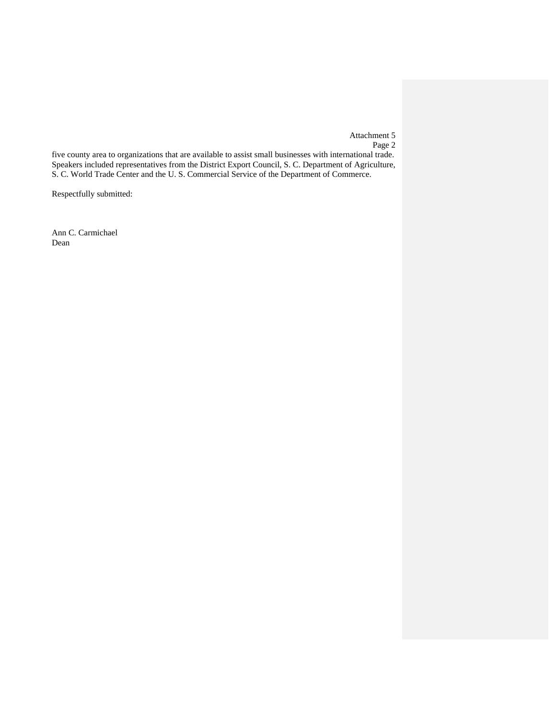Attachment 5 Page 2

five county area to organizations that are available to assist small businesses with international trade. Speakers included representatives from the District Export Council, S. C. Department of Agriculture, S. C. World Trade Center and the U. S. Commercial Service of the Department of Commerce.

Respectfully submitted:

Ann C. Carmichael Dean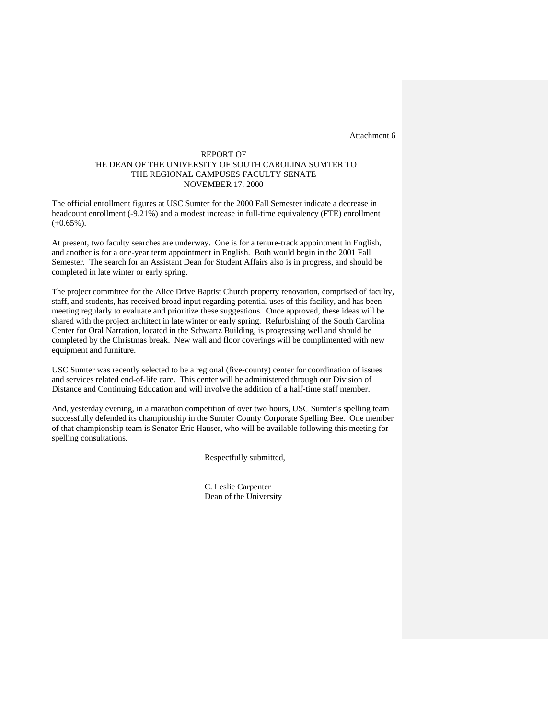## REPORT OF THE DEAN OF THE UNIVERSITY OF SOUTH CAROLINA SUMTER TO THE REGIONAL CAMPUSES FACULTY SENATE NOVEMBER 17, 2000

The official enrollment figures at USC Sumter for the 2000 Fall Semester indicate a decrease in headcount enrollment (-9.21%) and a modest increase in full-time equivalency (FTE) enrollment  $(+0.65\%)$ .

At present, two faculty searches are underway. One is for a tenure-track appointment in English, and another is for a one-year term appointment in English. Both would begin in the 2001 Fall Semester. The search for an Assistant Dean for Student Affairs also is in progress, and should be completed in late winter or early spring.

The project committee for the Alice Drive Baptist Church property renovation, comprised of faculty, staff, and students, has received broad input regarding potential uses of this facility, and has been meeting regularly to evaluate and prioritize these suggestions. Once approved, these ideas will be shared with the project architect in late winter or early spring. Refurbishing of the South Carolina Center for Oral Narration, located in the Schwartz Building, is progressing well and should be completed by the Christmas break. New wall and floor coverings will be complimented with new equipment and furniture.

USC Sumter was recently selected to be a regional (five-county) center for coordination of issues and services related end-of-life care. This center will be administered through our Division of Distance and Continuing Education and will involve the addition of a half-time staff member.

And, yesterday evening, in a marathon competition of over two hours, USC Sumter's spelling team successfully defended its championship in the Sumter County Corporate Spelling Bee. One member of that championship team is Senator Eric Hauser, who will be available following this meeting for spelling consultations.

Respectfully submitted,

C. Leslie Carpenter Dean of the University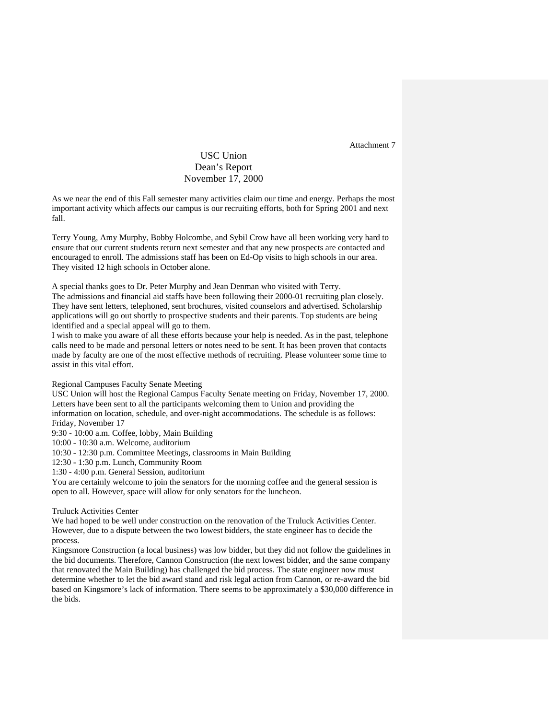## USC Union Dean's Report November 17, 2000

As we near the end of this Fall semester many activities claim our time and energy. Perhaps the most important activity which affects our campus is our recruiting efforts, both for Spring 2001 and next fall.

Terry Young, Amy Murphy, Bobby Holcombe, and Sybil Crow have all been working very hard to ensure that our current students return next semester and that any new prospects are contacted and encouraged to enroll. The admissions staff has been on Ed-Op visits to high schools in our area. They visited 12 high schools in October alone.

A special thanks goes to Dr. Peter Murphy and Jean Denman who visited with Terry.

The admissions and financial aid staffs have been following their 2000-01 recruiting plan closely. They have sent letters, telephoned, sent brochures, visited counselors and advertised. Scholarship applications will go out shortly to prospective students and their parents. Top students are being identified and a special appeal will go to them.

I wish to make you aware of all these efforts because your help is needed. As in the past, telephone calls need to be made and personal letters or notes need to be sent. It has been proven that contacts made by faculty are one of the most effective methods of recruiting. Please volunteer some time to assist in this vital effort.

Regional Campuses Faculty Senate Meeting

USC Union will host the Regional Campus Faculty Senate meeting on Friday, November 17, 2000. Letters have been sent to all the participants welcoming them to Union and providing the information on location, schedule, and over-night accommodations. The schedule is as follows: Friday, November 17 9:30 - 10:00 a.m. Coffee, lobby, Main Building

10:00 - 10:30 a.m. Welcome, auditorium

10:30 - 12:30 p.m. Committee Meetings, classrooms in Main Building

12:30 - 1:30 p.m. Lunch, Community Room

1:30 - 4:00 p.m. General Session, auditorium

You are certainly welcome to join the senators for the morning coffee and the general session is open to all. However, space will allow for only senators for the luncheon.

Truluck Activities Center

We had hoped to be well under construction on the renovation of the Truluck Activities Center. However, due to a dispute between the two lowest bidders, the state engineer has to decide the process.

Kingsmore Construction (a local business) was low bidder, but they did not follow the guidelines in the bid documents. Therefore, Cannon Construction (the next lowest bidder, and the same company that renovated the Main Building) has challenged the bid process. The state engineer now must determine whether to let the bid award stand and risk legal action from Cannon, or re-award the bid based on Kingsmore's lack of information. There seems to be approximately a \$30,000 difference in the bids.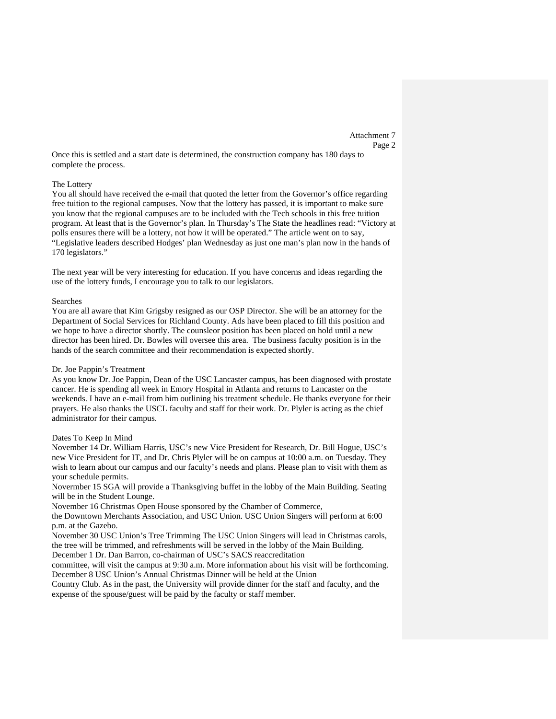Attachment 7 Page 2

Once this is settled and a start date is determined, the construction company has 180 days to complete the process.

#### The Lottery

You all should have received the e-mail that quoted the letter from the Governor's office regarding free tuition to the regional campuses. Now that the lottery has passed, it is important to make sure you know that the regional campuses are to be included with the Tech schools in this free tuition program. At least that is the Governor's plan. In Thursday's The State the headlines read: "Victory at polls ensures there will be a lottery, not how it will be operated." The article went on to say, "Legislative leaders described Hodges' plan Wednesday as just one man's plan now in the hands of 170 legislators."

The next year will be very interesting for education. If you have concerns and ideas regarding the use of the lottery funds, I encourage you to talk to our legislators.

#### Searches

You are all aware that Kim Grigsby resigned as our OSP Director. She will be an attorney for the Department of Social Services for Richland County. Ads have been placed to fill this position and we hope to have a director shortly. The counsleor position has been placed on hold until a new director has been hired. Dr. Bowles will oversee this area. The business faculty position is in the hands of the search committee and their recommendation is expected shortly.

## Dr. Joe Pappin's Treatment

As you know Dr. Joe Pappin, Dean of the USC Lancaster campus, has been diagnosed with prostate cancer. He is spending all week in Emory Hospital in Atlanta and returns to Lancaster on the weekends. I have an e-mail from him outlining his treatment schedule. He thanks everyone for their prayers. He also thanks the USCL faculty and staff for their work. Dr. Plyler is acting as the chief administrator for their campus.

## Dates To Keep In Mind

November 14 Dr. William Harris, USC's new Vice President for Research, Dr. Bill Hogue, USC's new Vice President for IT, and Dr. Chris Plyler will be on campus at 10:00 a.m. on Tuesday. They wish to learn about our campus and our faculty's needs and plans. Please plan to visit with them as your schedule permits.

Novermber 15 SGA will provide a Thanksgiving buffet in the lobby of the Main Building. Seating will be in the Student Lounge.

November 16 Christmas Open House sponsored by the Chamber of Commerce,

the Downtown Merchants Association, and USC Union. USC Union Singers will perform at 6:00 p.m. at the Gazebo.

November 30 USC Union's Tree Trimming The USC Union Singers will lead in Christmas carols, the tree will be trimmed, and refreshments will be served in the lobby of the Main Building.

December 1 Dr. Dan Barron, co-chairman of USC's SACS reaccreditation

committee, will visit the campus at 9:30 a.m. More information about his visit will be forthcoming. December 8 USC Union's Annual Christmas Dinner will be held at the Union

Country Club. As in the past, the University will provide dinner for the staff and faculty, and the expense of the spouse/guest will be paid by the faculty or staff member.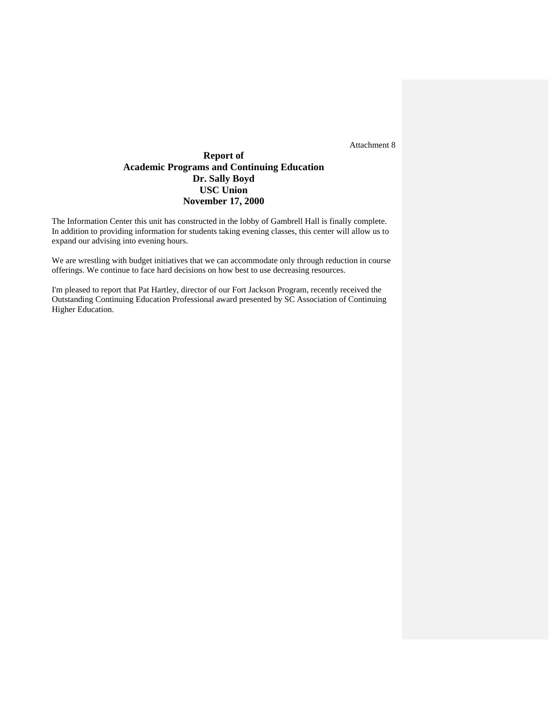## **Report of Academic Programs and Continuing Education Dr. Sally Boyd USC Union November 17, 2000**

The Information Center this unit has constructed in the lobby of Gambrell Hall is finally complete. In addition to providing information for students taking evening classes, this center will allow us to expand our advising into evening hours.

We are wrestling with budget initiatives that we can accommodate only through reduction in course offerings. We continue to face hard decisions on how best to use decreasing resources.

I'm pleased to report that Pat Hartley, director of our Fort Jackson Program, recently received the Outstanding Continuing Education Professional award presented by SC Association of Continuing Higher Education.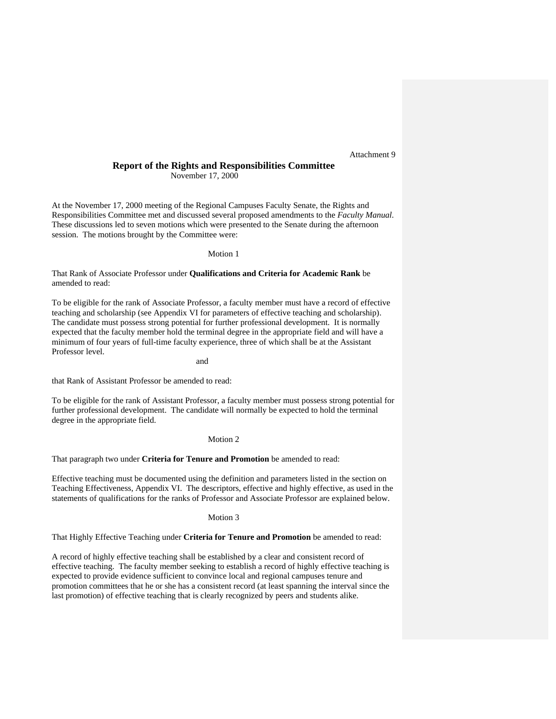## **Report of the Rights and Responsibilities Committee**  November 17, 2000

At the November 17, 2000 meeting of the Regional Campuses Faculty Senate, the Rights and Responsibilities Committee met and discussed several proposed amendments to the *Faculty Manual*. These discussions led to seven motions which were presented to the Senate during the afternoon session. The motions brought by the Committee were:

## Motion 1

That Rank of Associate Professor under **Qualifications and Criteria for Academic Rank** be amended to read:

To be eligible for the rank of Associate Professor, a faculty member must have a record of effective teaching and scholarship (see Appendix VI for parameters of effective teaching and scholarship). The candidate must possess strong potential for further professional development. It is normally expected that the faculty member hold the terminal degree in the appropriate field and will have a minimum of four years of full-time faculty experience, three of which shall be at the Assistant Professor level.

and

that Rank of Assistant Professor be amended to read:

To be eligible for the rank of Assistant Professor, a faculty member must possess strong potential for further professional development. The candidate will normally be expected to hold the terminal degree in the appropriate field.

## Motion 2

That paragraph two under **Criteria for Tenure and Promotion** be amended to read:

Effective teaching must be documented using the definition and parameters listed in the section on Teaching Effectiveness, Appendix VI. The descriptors, effective and highly effective, as used in the statements of qualifications for the ranks of Professor and Associate Professor are explained below.

#### Motion 3

That Highly Effective Teaching under **Criteria for Tenure and Promotion** be amended to read:

A record of highly effective teaching shall be established by a clear and consistent record of effective teaching. The faculty member seeking to establish a record of highly effective teaching is expected to provide evidence sufficient to convince local and regional campuses tenure and promotion committees that he or she has a consistent record (at least spanning the interval since the last promotion) of effective teaching that is clearly recognized by peers and students alike.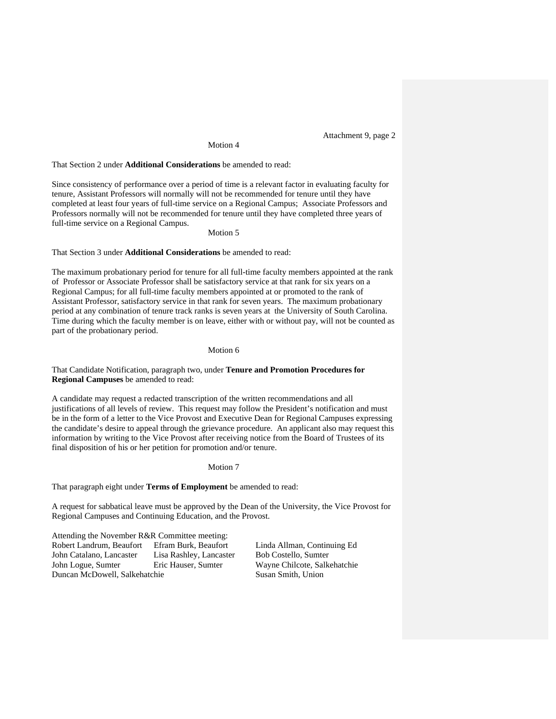Attachment 9, page 2

## Motion 4

That Section 2 under **Additional Considerations** be amended to read:

Since consistency of performance over a period of time is a relevant factor in evaluating faculty for tenure, Assistant Professors will normally will not be recommended for tenure until they have completed at least four years of full-time service on a Regional Campus; Associate Professors and Professors normally will not be recommended for tenure until they have completed three years of full-time service on a Regional Campus.

Motion 5

That Section 3 under **Additional Considerations** be amended to read:

The maximum probationary period for tenure for all full-time faculty members appointed at the rank of Professor or Associate Professor shall be satisfactory service at that rank for six years on a Regional Campus; for all full-time faculty members appointed at or promoted to the rank of Assistant Professor, satisfactory service in that rank for seven years. The maximum probationary period at any combination of tenure track ranks is seven years at the University of South Carolina. Time during which the faculty member is on leave, either with or without pay, will not be counted as part of the probationary period.

## Motion 6

## That Candidate Notification, paragraph two, under **Tenure and Promotion Procedures for Regional Campuses** be amended to read:

A candidate may request a redacted transcription of the written recommendations and all justifications of all levels of review. This request may follow the President's notification and must be in the form of a letter to the Vice Provost and Executive Dean for Regional Campuses expressing the candidate's desire to appeal through the grievance procedure. An applicant also may request this information by writing to the Vice Provost after receiving notice from the Board of Trustees of its final disposition of his or her petition for promotion and/or tenure.

### Motion 7

That paragraph eight under **Terms of Employment** be amended to read:

A request for sabbatical leave must be approved by the Dean of the University, the Vice Provost for Regional Campuses and Continuing Education, and the Provost.

Attending the November R&R Committee meeting: Robert Landrum, Beaufort Efram Burk, Beaufort Linda Allman, Continuing Ed John Catalano, Lancaster Lisa Rashley, Lancaster Bob Costello, Sumter John Logue, Sumter Eric Hauser, Sumter Wayne Chilcote, Salkehatchie Duncan McDowell, Salkehatchie Susan Smith, Union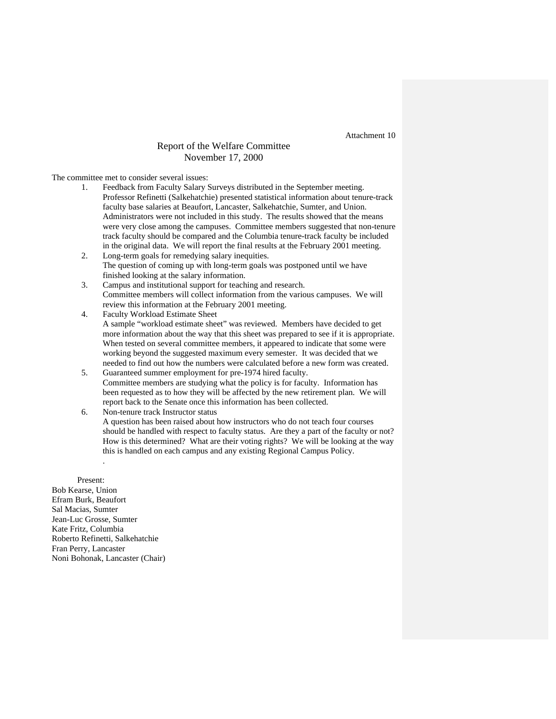## Report of the Welfare Committee November 17, 2000

The committee met to consider several issues:

- 1. Feedback from Faculty Salary Surveys distributed in the September meeting. Professor Refinetti (Salkehatchie) presented statistical information about tenure-track faculty base salaries at Beaufort, Lancaster, Salkehatchie, Sumter, and Union. Administrators were not included in this study. The results showed that the means were very close among the campuses. Committee members suggested that non-tenure track faculty should be compared and the Columbia tenure-track faculty be included in the original data. We will report the final results at the February 2001 meeting.
- 2. Long-term goals for remedying salary inequities. The question of coming up with long-term goals was postponed until we have finished looking at the salary information.
- 3. Campus and institutional support for teaching and research. Committee members will collect information from the various campuses. We will review this information at the February 2001 meeting.
- 4. Faculty Workload Estimate Sheet A sample "workload estimate sheet" was reviewed. Members have decided to get more information about the way that this sheet was prepared to see if it is appropriate. When tested on several committee members, it appeared to indicate that some were working beyond the suggested maximum every semester. It was decided that we needed to find out how the numbers were calculated before a new form was created.
- 5. Guaranteed summer employment for pre-1974 hired faculty. Committee members are studying what the policy is for faculty. Information has been requested as to how they will be affected by the new retirement plan. We will report back to the Senate once this information has been collected.
- 6. Non-tenure track Instructor status A question has been raised about how instructors who do not teach four courses should be handled with respect to faculty status. Are they a part of the faculty or not? How is this determined? What are their voting rights? We will be looking at the way this is handled on each campus and any existing Regional Campus Policy.

Present: Bob Kearse, Union Efram Burk, Beaufort Sal Macias, Sumter Jean-Luc Grosse, Sumter Kate Fritz, Columbia Roberto Refinetti, Salkehatchie Fran Perry, Lancaster Noni Bohonak, Lancaster (Chair)

.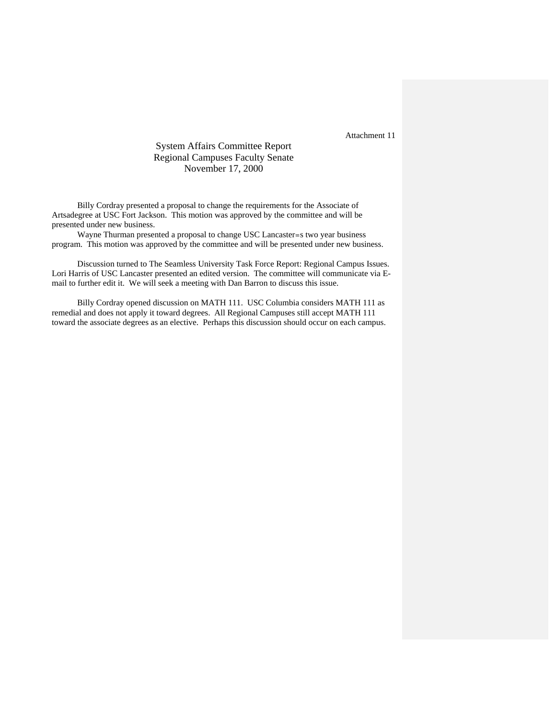## System Affairs Committee Report Regional Campuses Faculty Senate November 17, 2000

Billy Cordray presented a proposal to change the requirements for the Associate of Artsadegree at USC Fort Jackson. This motion was approved by the committee and will be presented under new business.

Wayne Thurman presented a proposal to change USC Lancaster=s two year business program. This motion was approved by the committee and will be presented under new business.

Discussion turned to The Seamless University Task Force Report: Regional Campus Issues. Lori Harris of USC Lancaster presented an edited version. The committee will communicate via Email to further edit it. We will seek a meeting with Dan Barron to discuss this issue.

Billy Cordray opened discussion on MATH 111. USC Columbia considers MATH 111 as remedial and does not apply it toward degrees. All Regional Campuses still accept MATH 111 toward the associate degrees as an elective. Perhaps this discussion should occur on each campus.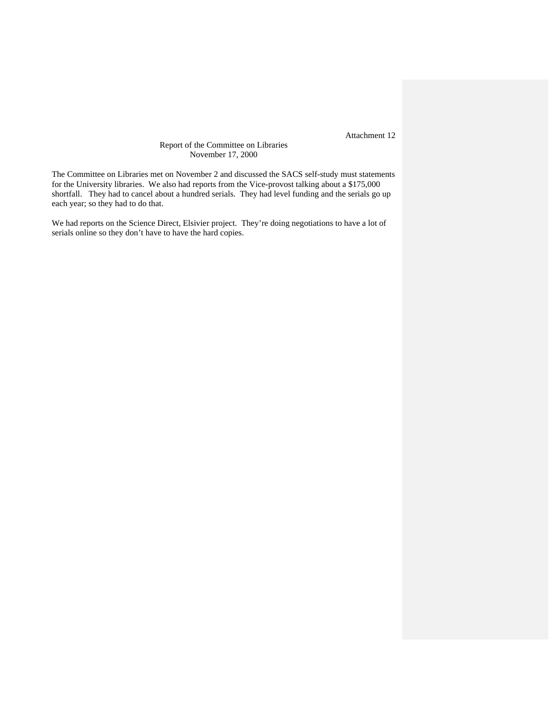## Report of the Committee on Libraries November 17, 2000

The Committee on Libraries met on November 2 and discussed the SACS self-study must statements for the University libraries. We also had reports from the Vice-provost talking about a \$175,000 shortfall. They had to cancel about a hundred serials. They had level funding and the serials go up each year; so they had to do that.

We had reports on the Science Direct, Elsivier project. They're doing negotiations to have a lot of serials online so they don't have to have the hard copies.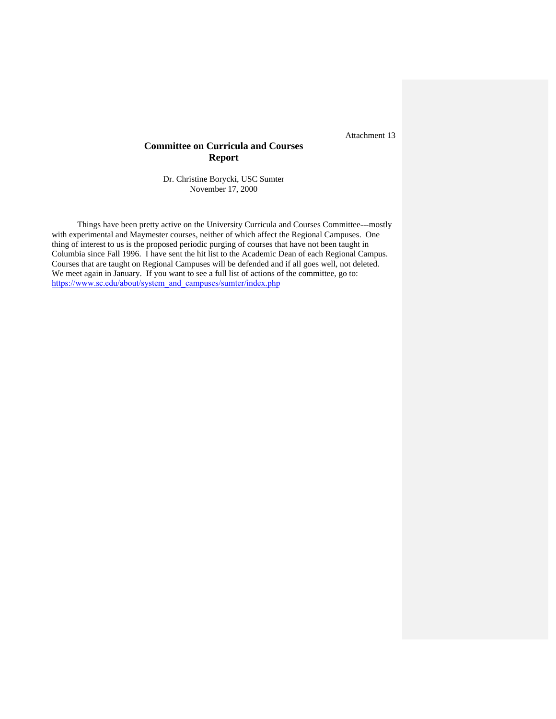## **Committee on Curricula and Courses Report**

Dr. Christine Borycki, USC Sumter November 17, 2000

Things have been pretty active on the University Curricula and Courses Committee---mostly with experimental and Maymester courses, neither of which affect the Regional Campuses. One thing of interest to us is the proposed periodic purging of courses that have not been taught in Columbia since Fall 1996. I have sent the hit list to the Academic Dean of each Regional Campus. Courses that are taught on Regional Campuses will be defended and if all goes well, not deleted. We meet again in January. If you want to see a full list of actions of the committee, go to: [https://www.sc.edu/about/system\\_and\\_campuses/sumter/index.php](http://www.uscsumter/)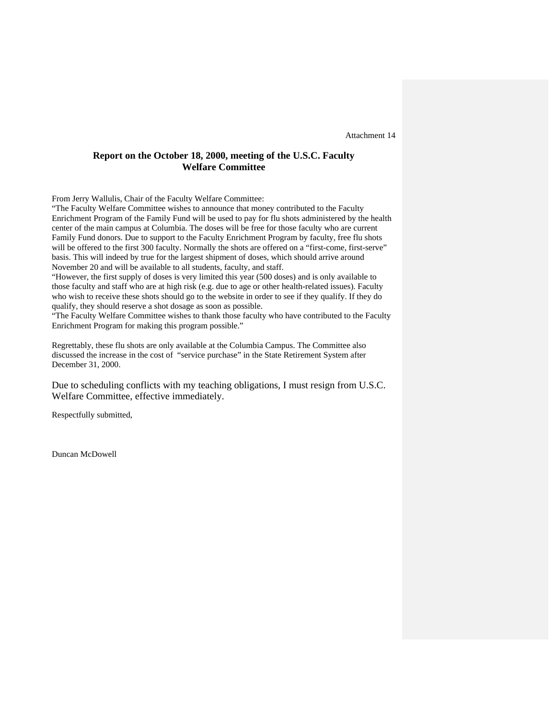## **Report on the October 18, 2000, meeting of the U.S.C. Faculty Welfare Committee**

From Jerry Wallulis, Chair of the Faculty Welfare Committee:

"The Faculty Welfare Committee wishes to announce that money contributed to the Faculty Enrichment Program of the Family Fund will be used to pay for flu shots administered by the health center of the main campus at Columbia. The doses will be free for those faculty who are current Family Fund donors. Due to support to the Faculty Enrichment Program by faculty, free flu shots will be offered to the first 300 faculty. Normally the shots are offered on a "first-come, first-serve" basis. This will indeed by true for the largest shipment of doses, which should arrive around November 20 and will be available to all students, faculty, and staff.

"However, the first supply of doses is very limited this year (500 doses) and is only available to those faculty and staff who are at high risk (e.g. due to age or other health-related issues). Faculty who wish to receive these shots should go to the website in order to see if they qualify. If they do qualify, they should reserve a shot dosage as soon as possible.

"The Faculty Welfare Committee wishes to thank those faculty who have contributed to the Faculty Enrichment Program for making this program possible."

Regrettably, these flu shots are only available at the Columbia Campus. The Committee also discussed the increase in the cost of "service purchase" in the State Retirement System after December 31, 2000.

Due to scheduling conflicts with my teaching obligations, I must resign from U.S.C. Welfare Committee, effective immediately.

Respectfully submitted,

Duncan McDowell